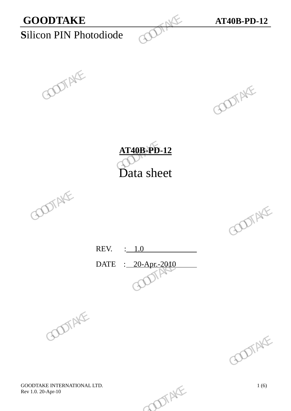









REV. : 1.0 DATE : 20-Apr.-2010 REV.  $\frac{1.0}{\sqrt{2000}}$  GOOTAKE





GOODTAKE INTERNATIONAL LTD.<br>
Rev 1.0. 20-Apr-10 1 (6) Rev 1.0. 20-Apr-10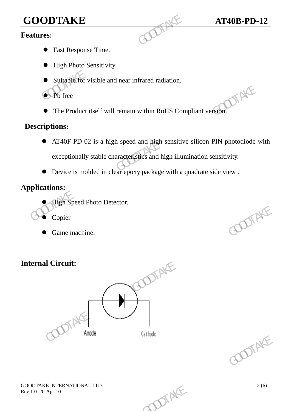# **GOODTAKE AT40B-PD-12**<br>Features:

## **Features:**

- Fast Response Time.
- $\bullet$  High Photo Sensitivity.
- Suitable for visible and near infrared radiation.
- **P**b free
- The Product itself will remain within RoHS Compliant version.

## **Descriptions:**

- AT40F-PD-02 is a high speed and high sensitive silicon PIN photodiode with exceptionally stable characteristics and high illumination sensitivity. GOODTAKE<br>
Features:<br>
• Fast Response Time.<br>
• High Photo Sensitivity.<br>
• Suitable for visible and near infrared radiation.<br>
• Pb free<br>
• The Product itself will remain within RoHS Com<br>
Descriptions:<br>
• AT40F-PD-02 is a hig The Product itself will remain within RoHS Compliant version.<br>
Descriptions:<br>  $\bullet$  AT40F-PD-02 is a high speed and high sensitive silicon PIN photodiode weighted and the characteristics and high illumination sensitivity.<br>
	- Device is molded in clear epoxy package with a quadrate side view .

# **Applications:**

- High Speed Photo Detector.
- Copier
- Game machine.

# **Internal Circuit:**





GOODTAKE INTERNATIONAL LTD.<br>
Rev 1.0. 20-Apr-10 2 (6) Rev 1.0. 20-Apr-10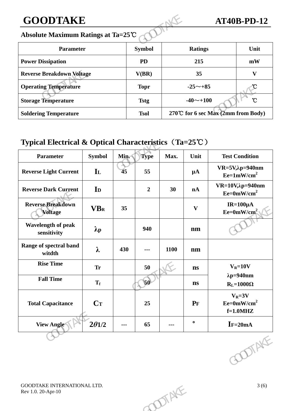# **GOODTAKE AT40B-PD-12**

### **Absolute Maximum Ratings at Ta=25**℃

| <b>GOODTAKE</b>                    |               |                                    | <b>AT40B-PD-12</b>        |
|------------------------------------|---------------|------------------------------------|---------------------------|
| Absolute Maximum Ratings at Ta=25℃ |               |                                    |                           |
| <b>Parameter</b>                   | <b>Symbol</b> | <b>Ratings</b>                     | Unit                      |
| <b>Power Dissipation</b>           | <b>PD</b>     | 215                                | mW                        |
| <b>Reverse Breakdown Voltage</b>   | V(BR)         | 35                                 | $\boldsymbol{\mathrm{V}}$ |
| <b>Operating Temperature</b>       | <b>Topr</b>   | $-25 \sim +85$                     |                           |
| <b>Storage Temperature</b>         | <b>Tstg</b>   | $-40$ $\sim$ +100                  | $\mathcal{C}$             |
| <b>Soldering Temperature</b>       | <b>Tsol</b>   | 270℃ for 6 sec Max (2mm from Body) |                           |

# **Typical Electrical & Optical Characteristics**(**Ta=25**℃)

| <b>Operating Temperature</b>                                    |                   |      | <b>Topr</b>    |                                    | $-25 \sim +85$ | U                                          |
|-----------------------------------------------------------------|-------------------|------|----------------|------------------------------------|----------------|--------------------------------------------|
| <b>Storage Temperature</b>                                      |                   |      | <b>Tstg</b>    |                                    | $-40$ ~+100    | $\mathcal{C}$                              |
| <b>Soldering Temperature</b>                                    |                   |      | <b>Tsol</b>    | 270℃ for 6 sec Max (2mm from Body) |                |                                            |
| Typical Electrical & Optical Characteristics $(Ta=25^{\circ}C)$ |                   |      |                |                                    |                |                                            |
| Parameter                                                       | <b>Symbol</b>     | Min. | <b>Type</b>    | Max.                               | Unit           | <b>Test Condition</b>                      |
| <b>Reverse Light Current</b>                                    | $\mathbf{I}$      | 45   | 55             |                                    | $\mu A$        | $VR=5V, \lambda p=940$ nm<br>$Ee=1mW/cm^2$ |
| <b>Reverse Dark Current</b>                                     | I <sub>D</sub>    |      | $\overline{2}$ | 30                                 | nA             | $VR=10V, \lambda p=940nm$<br>$Ee=0mW/cm^2$ |
| <b>Reverse Breakdown</b><br><b>Voltage</b>                      | <b>VBR</b>        | 35   |                |                                    | $\mathbf{V}$   | IR= $100 \mu A$<br>$Ee=0mW/cm^2$           |
| Wavelength of peak<br>sensitivity                               | $\lambda_{\rm p}$ |      | 940            |                                    | nm             |                                            |
| Range of spectral band<br>witdth                                | $\lambda$         | 430  | ---            | 1100                               | nm             |                                            |
| <b>Rise Time</b>                                                | <b>Tr</b>         |      | 50             |                                    | ns             | $V_R = 10V$                                |
| <b>Fall Time</b>                                                | $T_f$             |      | $\mathbf{50}$  |                                    | $\mathbf{n}$ s | $\lambda p = 940$ nm<br>$R_L = 1000\Omega$ |
| <b>Total Capacitance</b>                                        | $C_{T}$           |      | 25             |                                    | $P_{F}$        | $V_R = 3V$<br>$Ee=0mW/cm^2$<br>$f=1.0$ MHZ |
| <b>View Angle</b>                                               | $2\theta$ 1/2     | ---  | 65             | $\scriptstyle\cdots$               | $\bullet$      | $I = 20mA$                                 |
|                                                                 |                   |      |                |                                    |                | <b>COTAKE</b>                              |
| GOODTAKE INTERNATIONAL LTD.<br>Rev 1.0. 20-Apr-10               |                   |      |                | DIENTE                             |                | 3(6)                                       |
|                                                                 |                   |      |                |                                    |                |                                            |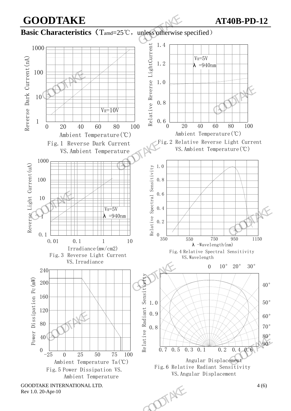**GOODTAKE AT40B-PD-12 Basic Characteristics** (T<sub>amd</sub>=25℃, unless otherwise specified) 1 10 100 1000 Reverse Dark Current(nA)  $V_R=10V$  $V_R = 5V$  $\lambda$  =940nm  $0.6$ <sub>0</sub> 0.8 1.2 1.4 1.0 Relative Reverse LightCurrent **GOODTAKE**<br>
Basic Characteristics (T<sub>amd=25</sub>°C, unless otherwise s<br>
1000<br>  $\frac{2}{5}$ <br>  $\frac{1}{1}$ <br>  $\frac{1}{2}$ <br>  $\frac{1}{2}$ <br>  $\frac{1}{2}$ <br>  $\frac{1}{2}$ <br>  $\frac{1}{2}$ <br>  $\frac{1}{2}$ <br>  $\frac{1}{2}$ <br>  $\frac{1}{2}$ <br>  $\frac{1}{2}$ <br>  $\frac{1}{2}$ <br>  $\frac{1}{2}$ <br>  $\frac{$ 

Ambient Temperature(℃) Fig.1 Reverse Dark Current



0.8

0.9

1.0



Rev 1.0. 20-Apr-10

Reverse Light Current(uA)



0 20 40 60 80 100

Ambient Temperature(℃)

0.1

0.7 0.5 0.3 0.2 0.4 0.6

Fig.6 Relative Radiant Sensitivity VS.Angular Displacement

Angular Displacement

Fig.2 Relative Reverse Light Current



40°

50°

60°

70° 80° 90°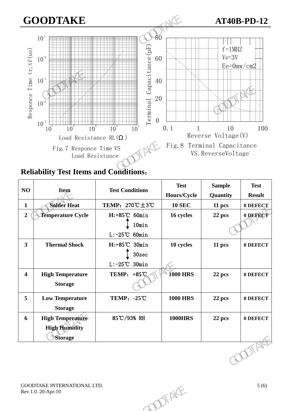# **GOODTAKE AT40B-PD-12**



**Reliability Test Items and Conditions**:

| $\mathbf{1}$<br>$\boldsymbol{2}$ | <b>Solder Heat</b>                                |                                                   | Hours/Cycle     | Quantity | <b>Result</b> |
|----------------------------------|---------------------------------------------------|---------------------------------------------------|-----------------|----------|---------------|
|                                  |                                                   | TEMP: $270^{\circ}\text{C} \pm 3^{\circ}\text{C}$ | <b>10 SEC</b>   | 11 pcs   | 0 DEFECT      |
|                                  | <b>Temperature Cycle</b>                          | H:+85°C 60min                                     | 16 cycles       | 22 pcs   | 0 DEFECT      |
|                                  |                                                   | 10min<br>$L: -25^{\circ}C$ 60min                  |                 |          |               |
| $\overline{\mathbf{3}}$          | <b>Thermal Shock</b>                              | $H: +85^{\circ}C$ 30min<br>30 <sub>sec</sub>      | 10 cycles       | 11 pcs   | 0 DEFECT      |
|                                  |                                                   | $L: -25^{\circ}\mathrm{C}$<br>$30$ min            |                 |          |               |
| $\overline{\mathbf{4}}$          | <b>High Temperature</b><br><b>Storage</b>         | TEMP: $+85^{\circ}$ C                             | <b>1000 HRS</b> | 22 pcs   | 0 DEFECT      |
|                                  |                                                   |                                                   |                 |          |               |
| 5                                | <b>Low Temperature</b><br><b>Storage</b>          | <b>TEMP: -25℃</b>                                 | <b>1000 HRS</b> | 22 pcs   | 0 DEFECT      |
| 6                                | <b>High Temperature</b><br><b>High Humidity</b>   | 85℃/93% RH                                        | <b>1000HRS</b>  | 22 pcs   | 0 DEFECT      |
|                                  | <b>Storage</b>                                    |                                                   |                 |          |               |
|                                  |                                                   |                                                   |                 |          | DIA           |
|                                  | GOODTAKE INTERNATIONAL LTD.<br>Rev 1.0. 20-Apr-10 |                                                   | TENFE           |          | 5(6)          |
|                                  |                                                   |                                                   |                 |          |               |